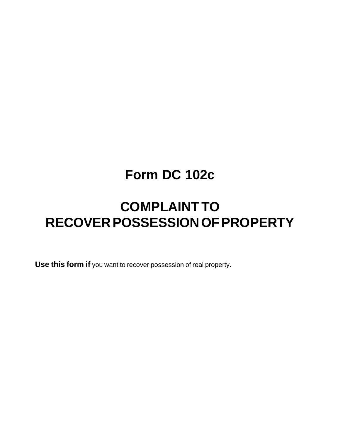## **Form DC 102c**

## **COMPLAINT TO RECOVER POSSESSION OF PROPERTY**

**Use this form if** you want to recover possession of real property.